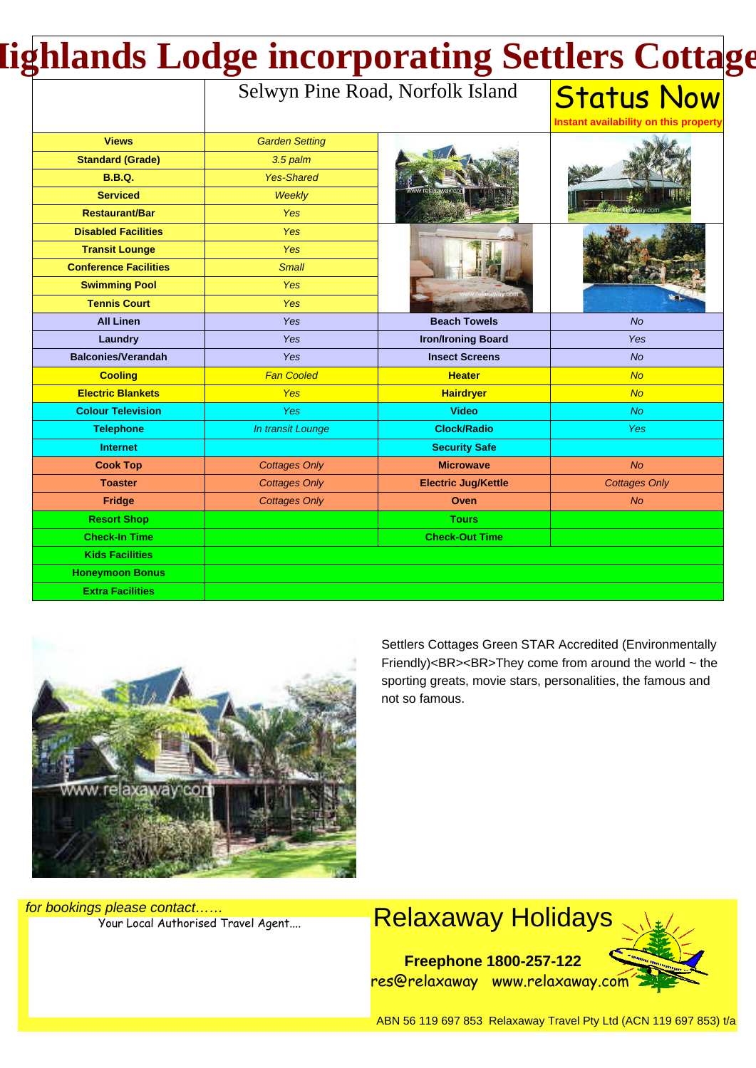# **Highlands Lodge incorporating Settlers Cottages**

#### Selwyn Pine Road, Norfolk Island

**Status Now Instant availability on this property**

|                              |                       |                            | mətam avallabıllıy bir tillə property |
|------------------------------|-----------------------|----------------------------|---------------------------------------|
| <b>Views</b>                 | <b>Garden Setting</b> |                            |                                       |
| <b>Standard (Grade)</b>      | 3.5 palm              |                            |                                       |
| <b>B.B.Q.</b>                | <b>Yes-Shared</b>     |                            |                                       |
| <b>Serviced</b>              | Weekly                |                            |                                       |
| <b>Restaurant/Bar</b>        | <b>Yes</b>            |                            |                                       |
| <b>Disabled Facilities</b>   | Yes                   |                            |                                       |
| <b>Transit Lounge</b>        | <b>Yes</b>            |                            |                                       |
| <b>Conference Facilities</b> | <b>Small</b>          |                            |                                       |
| <b>Swimming Pool</b>         | Yes                   |                            |                                       |
| <b>Tennis Court</b>          | Yes                   |                            |                                       |
| <b>All Linen</b>             | Yes                   | <b>Beach Towels</b>        | <b>No</b>                             |
| <b>Laundry</b>               | Yes                   | <b>Iron/Ironing Board</b>  | Yes                                   |
| <b>Balconies/Verandah</b>    | Yes                   | <b>Insect Screens</b>      | No                                    |
| <b>Cooling</b>               | <b>Fan Cooled</b>     | <b>Heater</b>              | No                                    |
| <b>Electric Blankets</b>     | Yes                   | <b>Hairdryer</b>           | No                                    |
| <b>Colour Television</b>     | Yes                   | <b>Video</b>               | No                                    |
| <b>Telephone</b>             | In transit Lounge     | <b>Clock/Radio</b>         | <b>Yes</b>                            |
| <b>Internet</b>              |                       | <b>Security Safe</b>       |                                       |
| <b>Cook Top</b>              | <b>Cottages Only</b>  | <b>Microwave</b>           | N <sub>O</sub>                        |
| <b>Toaster</b>               | <b>Cottages Only</b>  | <b>Electric Jug/Kettle</b> | <b>Cottages Only</b>                  |
| Fridge                       | <b>Cottages Only</b>  | <b>Oven</b>                | <b>No</b>                             |
| <b>Resort Shop</b>           |                       | <b>Tours</b>               |                                       |
| <b>Check-In Time</b>         |                       | <b>Check-Out Time</b>      |                                       |
| <b>Kids Facilities</b>       |                       |                            |                                       |
| <b>Honeymoon Bonus</b>       |                       |                            |                                       |
| <b>Extra Facilities</b>      |                       |                            |                                       |



Settlers Cottages Green STAR Accredited (Environmentally Friendly)<BR><BR>They come from around the world  $\sim$  the sporting greats, movie stars, personalities, the famous and not so famous.

for bookings please contact……